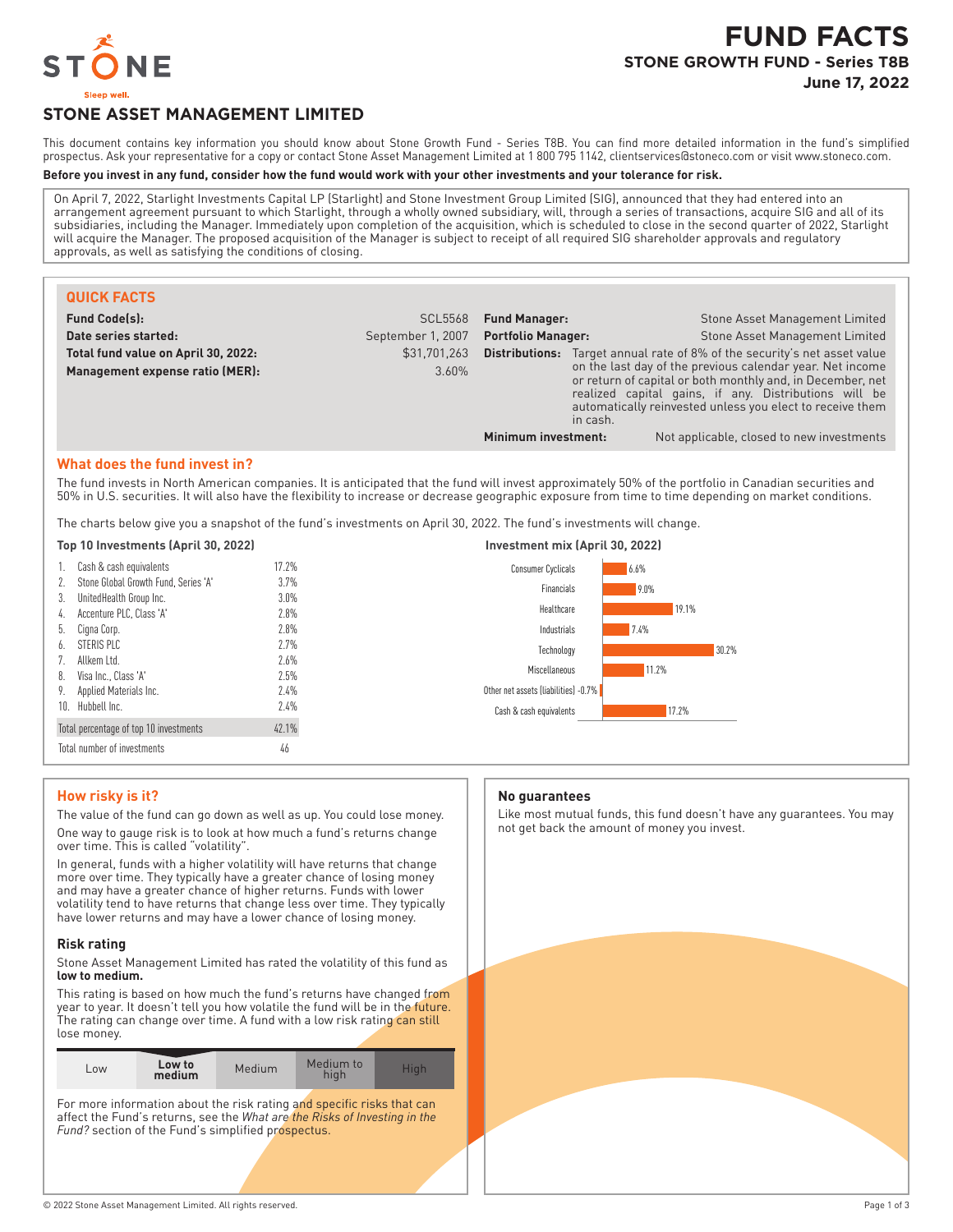

# **STONE ASSET MANAGEMENT LIMITED**

This document contains key information you should know about Stone Growth Fund - Series T8B. You can find more detailed information in the fund's simplified prospectus. Ask your representative for a copy or contact Stone Asset Management Limited at 1 800 795 1142, clientservices@stoneco.com or visit www.stoneco.com.

#### **Before you invest in any fund, consider how the fund would work with your other investments and your tolerance for risk.**

On April 7, 2022, Starlight Investments Capital LP (Starlight) and Stone Investment Group Limited (SIG), announced that they had entered into an arrangement agreement pursuant to which Starlight, through a wholly owned subsidiary, will, through a series of transactions, acquire SIG and all of its subsidiaries, including the Manager. Immediately upon completion of the acquisition, which is scheduled to close in the second quarter of 2022, Starlight will acquire the Manager. The proposed acquisition of the Manager is subject to receipt of all required SIG shareholder approvals and regulatory approvals, as well as satisfying the conditions of closing.

| <b>QUICK FACTS</b>                  |                   |                           |                                                                                                                                                                                                                                                           |                                                                                  |
|-------------------------------------|-------------------|---------------------------|-----------------------------------------------------------------------------------------------------------------------------------------------------------------------------------------------------------------------------------------------------------|----------------------------------------------------------------------------------|
| <b>Fund Code(s):</b>                | <b>SCL5568</b>    | <b>Fund Manager:</b>      |                                                                                                                                                                                                                                                           | Stone Asset Management Limited                                                   |
| Date series started:                | September 1, 2007 | <b>Portfolio Manager:</b> |                                                                                                                                                                                                                                                           | <b>Stone Asset Management Limited</b>                                            |
| Total fund value on April 30, 2022: | \$31,701,263      |                           |                                                                                                                                                                                                                                                           | <b>Distributions:</b> Target annual rate of 8% of the security's net asset value |
| Management expense ratio (MER):     | $3.60\%$          |                           | on the last day of the previous calendar year. Net income<br>or return of capital or both monthly and, in December, net<br>realized capital gains, if any. Distributions will be<br>automatically reinvested unless you elect to receive them<br>in cash. |                                                                                  |
|                                     |                   | Minimum investment:       |                                                                                                                                                                                                                                                           | Not applicable, closed to new investments                                        |

### **What does the fund invest in?**

The fund invests in North American companies. It is anticipated that the fund will invest approximately 50% of the portfolio in Canadian securities and 50% in U.S. securities. It will also have the flexibility to increase or decrease geographic exposure from time to time depending on market conditions.

The charts below give you a snapshot of the fund's investments on April 30, 2022. The fund's investments will change.

|  | Top 10 Investments (April 30, 2022) |  |  |
|--|-------------------------------------|--|--|
|--|-------------------------------------|--|--|

| 1.  | Cash & cash equivalents                | 17.2% |  |
|-----|----------------------------------------|-------|--|
| 2.  | Stone Global Growth Fund, Series 'A'   | 3.7%  |  |
| 3.  | UnitedHealth Group Inc.                | 3.0%  |  |
| 4.  | Accenture PLC, Class 'A'               | 7.8%  |  |
| 5.  | Cigna Corp.                            | 7.8%  |  |
| 6.  | STERIS PLC                             | 77%   |  |
| 7.  | Allkem I td.                           | 7.6%  |  |
| 8.  | Visa Inc., Class 'A'                   | 7.5%  |  |
| 9.  | Applied Materials Inc.                 | 2.4%  |  |
| 10. | Hubbell Inc.                           | 2.4%  |  |
|     | Total percentage of top 10 investments | 42.1% |  |
|     | Total number of investments<br>46      |       |  |



# **How risky is it?**

The value of the fund can go down as well as up. You could lose money. One way to gauge risk is to look at how much a fund's returns change over time. This is called "volatility".

In general, funds with a higher volatility will have returns that change more over time. They typically have a greater chance of losing money and may have a greater chance of higher returns. Funds with lower volatility tend to have returns that change less over time. They typically have lower returns and may have a lower chance of losing money.

#### **Risk rating**

Stone Asset Management Limited has rated the volatility of this fund as **low to medium.**

This rating is based on how much the fund's returns have changed from year to year. It doesn't tell you how volatile the fund will be in the future. The rating can change over time. A fund with a low risk rating can still lose money.

For more information about the risk rating and specific risks that can affect the Fund's returns, see the *What are the Risks of Investing in the* Fund? section of the Fund's simplified prospectus.

#### **No guarantees**

Like most mutual funds, this fund doesn't have any guarantees. You may not get back the amount of money you invest.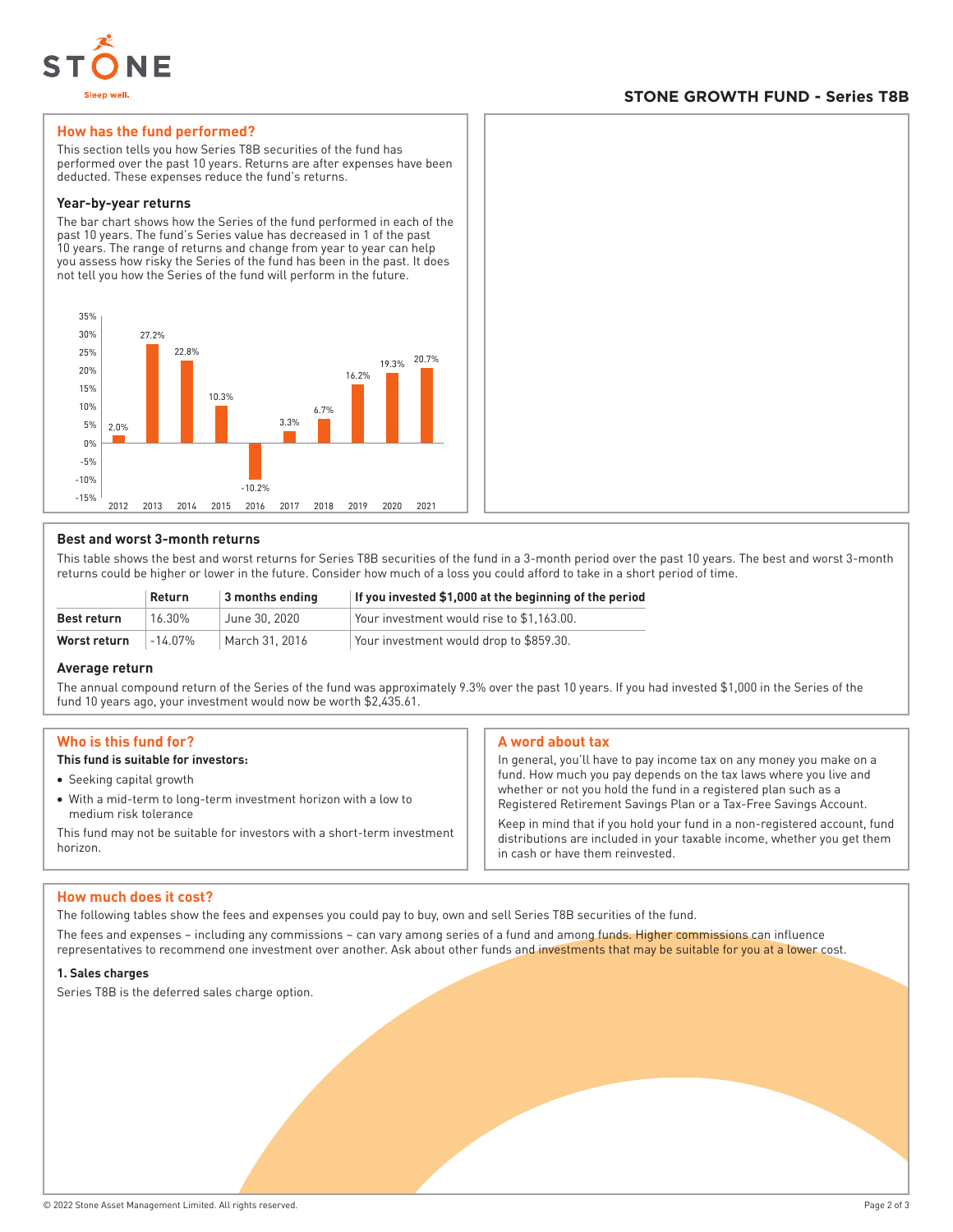

# **STONE GROWTH FUND - Series T8B**

# **How has the fund performed?**

This section tells you how Series T8B securities of the fund has performed over the past 10 years. Returns are after expenses have been deducted. These expenses reduce the fund's returns.

#### **Year-by-year returns**

The bar chart shows how the Series of the fund performed in each of the past 10 years. The fund's Series value has decreased in 1 of the past 10 years. The range of returns and change from year to year can help you assess how risky the Series of the fund has been in the past. It does not tell you how the Series of the fund will perform in the future.



# **Best and worst 3-month returns**

This table shows the best and worst returns for Series T8B securities of the fund in a 3-month period over the past 10 years. The best and worst 3-month returns could be higher or lower in the future. Consider how much of a loss you could afford to take in a short period of time.

|              | Return  | 3 months ending | If you invested \$1,000 at the beginning of the period |
|--------------|---------|-----------------|--------------------------------------------------------|
| Best return  | 16.30%  | June 30, 2020   | Your investment would rise to \$1.163.00.              |
| Worst return | -14 07% | March 31, 2016  | Your investment would drop to \$859.30.                |

#### **Average return**

The annual compound return of the Series of the fund was approximately 9.3% over the past 10 years. If you had invested \$1,000 in the Series of the fund 10 years ago, your investment would now be worth \$2,435.61.

# **Who is this fund for?**

# **This fund is suitable for investors:**

- Seeking capital growth
- With a mid-term to long-term investment horizon with a low to medium risk tolerance

This fund may not be suitable for investors with a short-term investment horizon.

# **A word about tax**

In general, you'll have to pay income tax on any money you make on a fund. How much you pay depends on the tax laws where you live and whether or not you hold the fund in a registered plan such as a Registered Retirement Savings Plan or a Tax-Free Savings Account.

Keep in mind that if you hold your fund in a non-registered account, fund distributions are included in your taxable income, whether you get them in cash or have them reinvested.

#### **How much does it cost?**

The following tables show the fees and expenses you could pay to buy, own and sell Series T8B securities of the fund.

The fees and expenses – including any commissions – can vary among series of a fund and among funds. Higher commissions can influence representatives to recommend one investment over another. Ask about other funds and investments that may be suitable for you at a lower cost.

#### **1. Sales charges**

Series T8B is the deferred sales charge option.